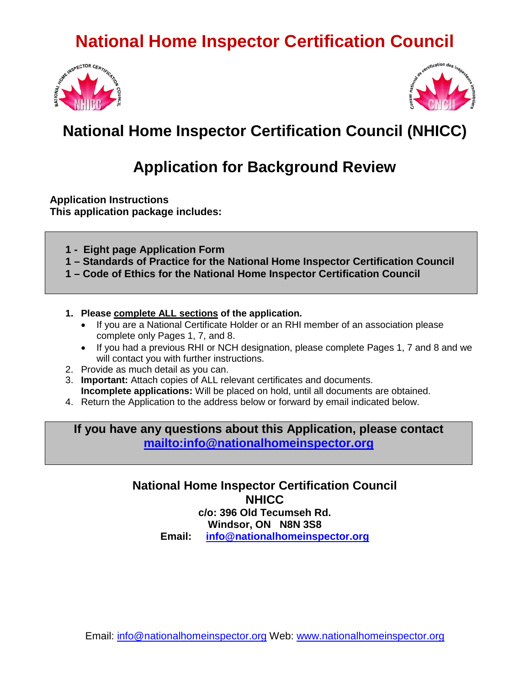



### **National Home Inspector Certification Council (NHICC)**

### **Application for Background Review**

**Application Instructions This application package includes:**

**1 - Eight page Application Form**

**1 – Standards of Practice for the National Home Inspector Certification Council**

**1 – Code of Ethics for the National Home Inspector Certification Council**

- **1. Please complete ALL sections of the application.** 
	- If you are a National Certificate Holder or an RHI member of an association please complete only Pages 1, 7, and 8.
	- If you had a previous RHI or NCH designation, please complete Pages 1, 7 and 8 and we will contact you with further instructions.
- 2. Provide as much detail as you can.
- 3. **Important:** Attach copies of ALL relevant certificates and documents. **Incomplete applications:** Will be placed on hold, until all documents are obtained.
- 4. Return the Application to the address below or forward by email indicated below.

**If you have any questions about this Application, please contact <mailto:info@nationalhomeinspector.org>**

> **National Home Inspector Certification Council NHICC c/o: 396 Old Tecumseh Rd. Windsor, ON N8N 3S8 Email: [info@nationalhomeinspector.org](mailto:info@nationalhomeinspector.org)**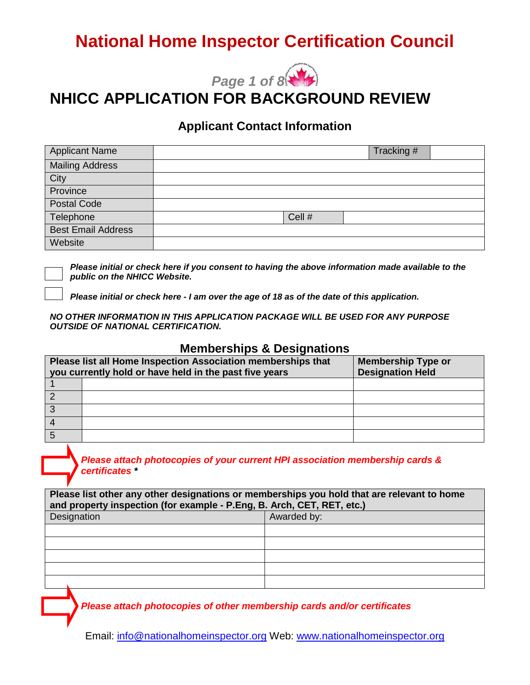

### **NHICC APPLICATION FOR BACKGROUND REVIEW**

#### **Applicant Contact Information**

| <b>Applicant Name</b>     |        | Tracking # |  |
|---------------------------|--------|------------|--|
| <b>Mailing Address</b>    |        |            |  |
| City                      |        |            |  |
| Province                  |        |            |  |
| <b>Postal Code</b>        |        |            |  |
| Telephone                 | Cell # |            |  |
| <b>Best Email Address</b> |        |            |  |
| Website                   |        |            |  |

*Please initial or check here if you consent to having the above information made available to the public on the NHICC Website.*

*Please initial or check here - I am over the age of 18 as of the date of this application.* 

*NO OTHER INFORMATION IN THIS APPLICATION PACKAGE WILL BE USED FOR ANY PURPOSE OUTSIDE OF NATIONAL CERTIFICATION.*

#### **Memberships & Designations**

| Please list all Home Inspection Association memberships that<br>you currently hold or have held in the past five years |  | <b>Membership Type or</b><br><b>Designation Held</b> |
|------------------------------------------------------------------------------------------------------------------------|--|------------------------------------------------------|
|                                                                                                                        |  |                                                      |
|                                                                                                                        |  |                                                      |
|                                                                                                                        |  |                                                      |
|                                                                                                                        |  |                                                      |
|                                                                                                                        |  |                                                      |

*Please attach photocopies of your current HPI association membership cards & certificates \**

**Please list other any other designations or memberships you hold that are relevant to home and property inspection (for example - P.Eng, B. Arch, CET, RET, etc.)**

| Designation | Awarded by: |
|-------------|-------------|
|             |             |
|             |             |
|             |             |
|             |             |
|             |             |
|             |             |

*Please attach photocopies of other membership cards and/or certificates*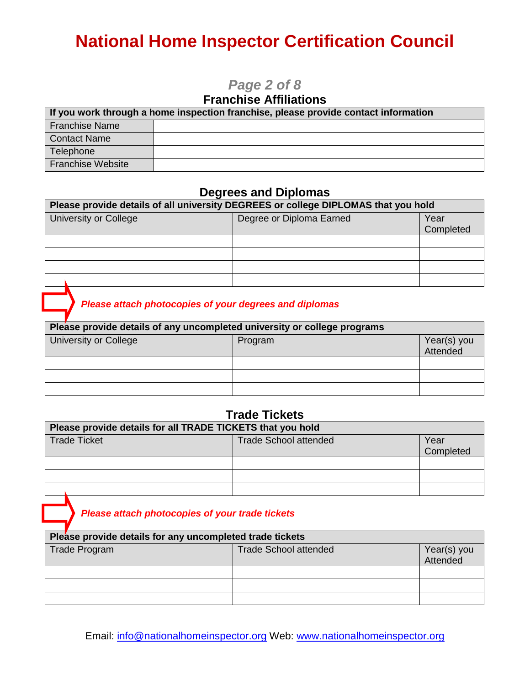### *Page 2 of 8*

### **Franchise Affiliations**

| If you work through a home inspection franchise, please provide contact information |  |  |
|-------------------------------------------------------------------------------------|--|--|
| <b>Franchise Name</b>                                                               |  |  |
| <b>Contact Name</b>                                                                 |  |  |
| Telephone                                                                           |  |  |
| <b>Franchise Website</b>                                                            |  |  |

#### **Degrees and Diplomas**

| Please provide details of all university DEGREES or college DIPLOMAS that you hold |                          |           |  |
|------------------------------------------------------------------------------------|--------------------------|-----------|--|
| University or College                                                              | Degree or Diploma Earned | Year      |  |
|                                                                                    |                          | Completed |  |
|                                                                                    |                          |           |  |
|                                                                                    |                          |           |  |
|                                                                                    |                          |           |  |
|                                                                                    |                          |           |  |

### *Please attach photocopies of your degrees and diplomas*

| Please provide details of any uncompleted university or college programs |         |                         |  |
|--------------------------------------------------------------------------|---------|-------------------------|--|
| University or College                                                    | Program | Year(s) you<br>Attended |  |
|                                                                          |         |                         |  |
|                                                                          |         |                         |  |
|                                                                          |         |                         |  |
|                                                                          |         |                         |  |

#### **Trade Tickets**

| Please provide details for all TRADE TICKETS that you hold |                              |           |  |
|------------------------------------------------------------|------------------------------|-----------|--|
| Trade Ticket                                               | <b>Trade School attended</b> | Year      |  |
|                                                            |                              | Completed |  |
|                                                            |                              |           |  |
|                                                            |                              |           |  |
|                                                            |                              |           |  |

*Please attach photocopies of your trade tickets*

| Please provide details for any uncompleted trade tickets |                              |                         |  |
|----------------------------------------------------------|------------------------------|-------------------------|--|
| Trade Program                                            | <b>Trade School attended</b> | Year(s) you<br>Attended |  |
|                                                          |                              |                         |  |
|                                                          |                              |                         |  |
|                                                          |                              |                         |  |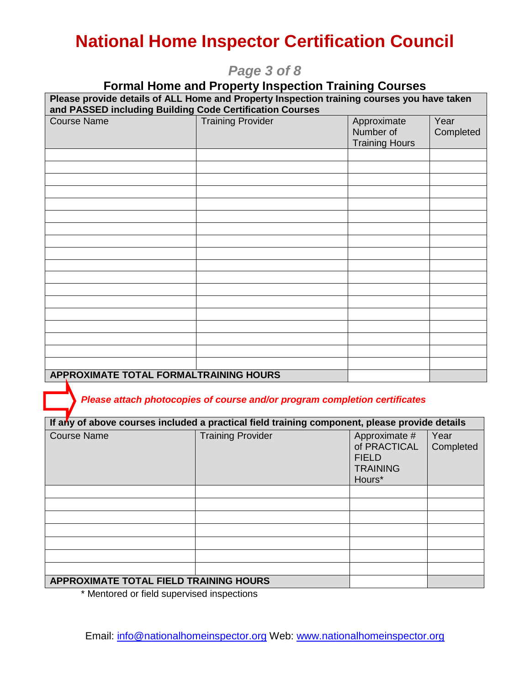### *Page 3 of 8*

# **Formal Home and Property Inspection Training Courses Please provide details of ALL Home and Property Inspection training courses you have taken and PASSED including Building Code Certification Courses** Training Provider **Approximate** Number of Training Hours Year **Completed APPROXIMATE TOTAL FORMALTRAINING HOURS**

 *Please attach photocopies of course and/or program completion certificates*

| If any of above courses included a practical field training component, please provide details |                          |                                                                            |                   |
|-----------------------------------------------------------------------------------------------|--------------------------|----------------------------------------------------------------------------|-------------------|
| <b>Course Name</b>                                                                            | <b>Training Provider</b> | Approximate #<br>of PRACTICAL<br><b>FIELD</b><br><b>TRAINING</b><br>Hours* | Year<br>Completed |
|                                                                                               |                          |                                                                            |                   |
|                                                                                               |                          |                                                                            |                   |
|                                                                                               |                          |                                                                            |                   |
|                                                                                               |                          |                                                                            |                   |
|                                                                                               |                          |                                                                            |                   |
|                                                                                               |                          |                                                                            |                   |
|                                                                                               |                          |                                                                            |                   |
| APPROXIMATE TOTAL FIELD TRAINING HOURS                                                        |                          |                                                                            |                   |

\* Mentored or field supervised inspections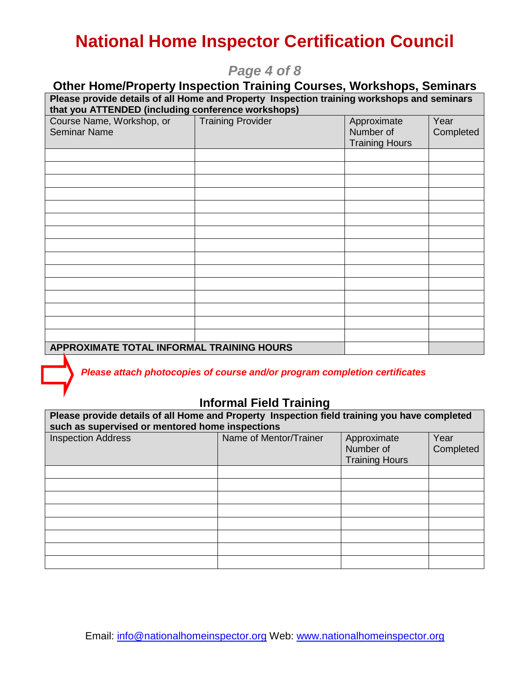### *Page 4 of 8*

| <b>Other Home/Property Inspection Training Courses, Workshops, Seminars</b>                                                                      |                          |                                                   |                   |  |
|--------------------------------------------------------------------------------------------------------------------------------------------------|--------------------------|---------------------------------------------------|-------------------|--|
| Please provide details of all Home and Property Inspection training workshops and seminars<br>that you ATTENDED (including conference workshops) |                          |                                                   |                   |  |
| Course Name, Workshop, or<br><b>Seminar Name</b>                                                                                                 | <b>Training Provider</b> | Approximate<br>Number of<br><b>Training Hours</b> | Year<br>Completed |  |
|                                                                                                                                                  |                          |                                                   |                   |  |
|                                                                                                                                                  |                          |                                                   |                   |  |
|                                                                                                                                                  |                          |                                                   |                   |  |
|                                                                                                                                                  |                          |                                                   |                   |  |
|                                                                                                                                                  |                          |                                                   |                   |  |
|                                                                                                                                                  |                          |                                                   |                   |  |
|                                                                                                                                                  |                          |                                                   |                   |  |
|                                                                                                                                                  |                          |                                                   |                   |  |
|                                                                                                                                                  |                          |                                                   |                   |  |
|                                                                                                                                                  |                          |                                                   |                   |  |
|                                                                                                                                                  |                          |                                                   |                   |  |
|                                                                                                                                                  |                          |                                                   |                   |  |
| APPROXIMATE TOTAL INFORMAL TRAINING HOURS                                                                                                        |                          |                                                   |                   |  |

*Please attach photocopies of course and/or program completion certificates*

### **Informal Field Training**

| Please provide details of all Home and Property Inspection field training you have completed<br>such as supervised or mentored home inspections |                        |                                                   |                   |  |
|-------------------------------------------------------------------------------------------------------------------------------------------------|------------------------|---------------------------------------------------|-------------------|--|
| <b>Inspection Address</b>                                                                                                                       | Name of Mentor/Trainer | Approximate<br>Number of<br><b>Training Hours</b> | Year<br>Completed |  |
|                                                                                                                                                 |                        |                                                   |                   |  |
|                                                                                                                                                 |                        |                                                   |                   |  |
|                                                                                                                                                 |                        |                                                   |                   |  |
|                                                                                                                                                 |                        |                                                   |                   |  |
|                                                                                                                                                 |                        |                                                   |                   |  |
|                                                                                                                                                 |                        |                                                   |                   |  |
|                                                                                                                                                 |                        |                                                   |                   |  |
|                                                                                                                                                 |                        |                                                   |                   |  |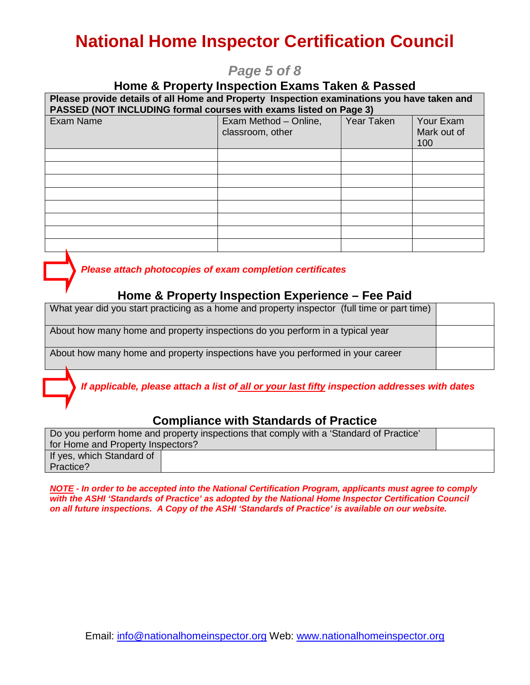### *Page 5 of 8*

#### **Home & Property Inspection Exams Taken & Passed**

| Please provide details of all Home and Property Inspection examinations you have taken and<br>PASSED (NOT INCLUDING formal courses with exams listed on Page 3) |                                           |            |                                 |  |
|-----------------------------------------------------------------------------------------------------------------------------------------------------------------|-------------------------------------------|------------|---------------------------------|--|
| Exam Name                                                                                                                                                       | Exam Method - Online,<br>classroom, other | Year Taken | Your Exam<br>Mark out of<br>100 |  |
|                                                                                                                                                                 |                                           |            |                                 |  |
|                                                                                                                                                                 |                                           |            |                                 |  |
|                                                                                                                                                                 |                                           |            |                                 |  |
|                                                                                                                                                                 |                                           |            |                                 |  |
|                                                                                                                                                                 |                                           |            |                                 |  |
|                                                                                                                                                                 |                                           |            |                                 |  |
|                                                                                                                                                                 |                                           |            |                                 |  |
|                                                                                                                                                                 |                                           |            |                                 |  |

 *Please attach photocopies of exam completion certificates*

#### **Home & Property Inspection Experience – Fee Paid**

|                                                                                | What year did you start practicing as a home and property inspector (full time or part time) |  |
|--------------------------------------------------------------------------------|----------------------------------------------------------------------------------------------|--|
|                                                                                | About how many home and property inspections do you perform in a typical year                |  |
| About how many home and property inspections have you performed in your career |                                                                                              |  |

*If applicable, please attach a list of all or your last fifty inspection addresses with dates* 

### **Compliance with Standards of Practice**

| Do you perform home and property inspections that comply with a 'Standard of Practice' |  |  |  |  |  |
|----------------------------------------------------------------------------------------|--|--|--|--|--|
| for Home and Property Inspectors?                                                      |  |  |  |  |  |
| If yes, which Standard of                                                              |  |  |  |  |  |
| Practice?                                                                              |  |  |  |  |  |

*NOTE - In order to be accepted into the National Certification Program, applicants must agree to comply with the ASHI 'Standards of Practice' as adopted by the National Home Inspector Certification Council on all future inspections. A Copy of the ASHI 'Standards of Practice' is available on our website.*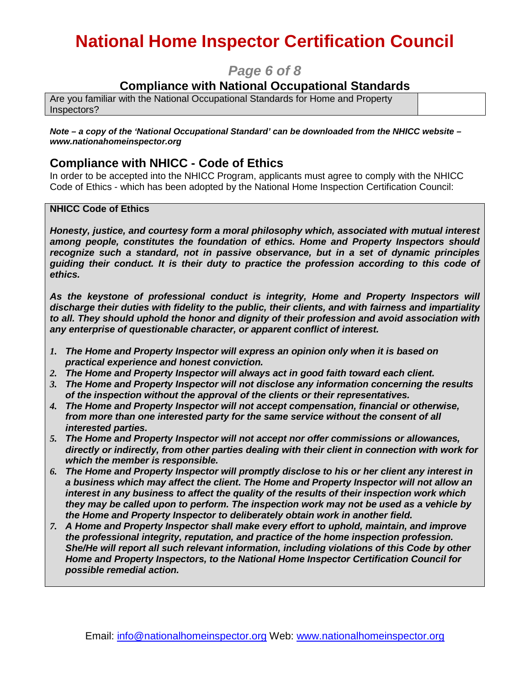### *Page 6 of 8*

### **Compliance with National Occupational Standards**

Are you familiar with the National Occupational Standards for Home and Property Inspectors?

*Note – a copy of the 'National Occupational Standard' can be downloaded from the NHICC website – www.nationahomeinspector.org*

#### **Compliance with NHICC - Code of Ethics**

In order to be accepted into the NHICC Program, applicants must agree to comply with the NHICC Code of Ethics - which has been adopted by the National Home Inspection Certification Council:

#### **NHICC Code of Ethics**

*Honesty, justice, and courtesy form a moral philosophy which, associated with mutual interest among people, constitutes the foundation of ethics. Home and Property Inspectors should recognize such a standard, not in passive observance, but in a set of dynamic principles guiding their conduct. It is their duty to practice the profession according to this code of ethics.*

*As the keystone of professional conduct is integrity, Home and Property Inspectors will discharge their duties with fidelity to the public, their clients, and with fairness and impartiality to all. They should uphold the honor and dignity of their profession and avoid association with any enterprise of questionable character, or apparent conflict of interest.*

- *1. The Home and Property Inspector will express an opinion only when it is based on practical experience and honest conviction.*
- *2. The Home and Property Inspector will always act in good faith toward each client.*
- *3. The Home and Property Inspector will not disclose any information concerning the results of the inspection without the approval of the clients or their representatives.*
- *4. The Home and Property Inspector will not accept compensation, financial or otherwise, from more than one interested party for the same service without the consent of all interested parties.*
- *5. The Home and Property Inspector will not accept nor offer commissions or allowances, directly or indirectly, from other parties dealing with their client in connection with work for which the member is responsible.*
- *6. The Home and Property Inspector will promptly disclose to his or her client any interest in a business which may affect the client. The Home and Property Inspector will not allow an interest in any business to affect the quality of the results of their inspection work which they may be called upon to perform. The inspection work may not be used as a vehicle by the Home and Property Inspector to deliberately obtain work in another field.*
- *7. A Home and Property Inspector shall make every effort to uphold, maintain, and improve the professional integrity, reputation, and practice of the home inspection profession. She/He will report all such relevant information, including violations of this Code by other Home and Property Inspectors, to the National Home Inspector Certification Council for possible remedial action.*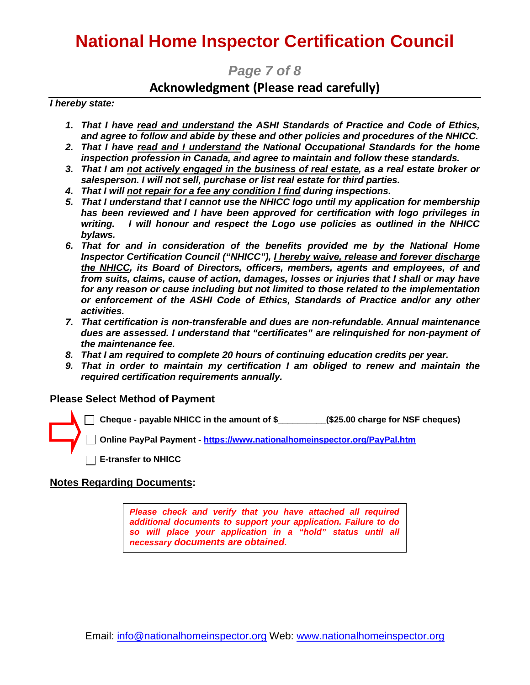*Page 7 of 8*

### **Acknowledgment (Please read carefully)**

*I hereby state:*

- *1. That I have read and understand the ASHI Standards of Practice and Code of Ethics, and agree to follow and abide by these and other policies and procedures of the NHICC.*
- *2. That I have read and I understand the National Occupational Standards for the home inspection profession in Canada, and agree to maintain and follow these standards.*
- *3. That I am not actively engaged in the business of real estate, as a real estate broker or salesperson. I will not sell, purchase or list real estate for third parties.*
- *4. That I will not repair for a fee any condition I find during inspections.*
- *5. That I understand that I cannot use the NHICC logo until my application for membership has been reviewed and I have been approved for certification with logo privileges in writing. I will honour and respect the Logo use policies as outlined in the NHICC bylaws.*
- *6. That for and in consideration of the benefits provided me by the National Home Inspector Certification Council ("NHICC"), I hereby waive, release and forever discharge the NHICC, its Board of Directors, officers, members, agents and employees, of and from suits, claims, cause of action, damages, losses or injuries that I shall or may have for any reason or cause including but not limited to those related to the implementation or enforcement of the ASHI Code of Ethics, Standards of Practice and/or any other activities.*
- *7. That certification is non-transferable and dues are non-refundable. Annual maintenance dues are assessed. I understand that "certificates" are relinquished for non-payment of the maintenance fee.*
- *8. That I am required to complete 20 hours of continuing education credits per year.*
- *9. That in order to maintain my certification I am obliged to renew and maintain the required certification requirements annually.*

#### **Please Select Method of Payment**

**Cheque - payable NHICC in the amount of \$\_\_\_\_\_\_\_\_\_\_(\$25.00 charge for NSF cheques)**

**Online PayPal Payment - <https://www.nationalhomeinspector.org/PayPal.htm>**

 **E-transfer to NHICC**

#### **Notes Regarding Documents:**

*Please check and verify that you have attached all required additional documents to support your application. Failure to do so will place your application in a "hold" status until all necessary documents are obtained.*